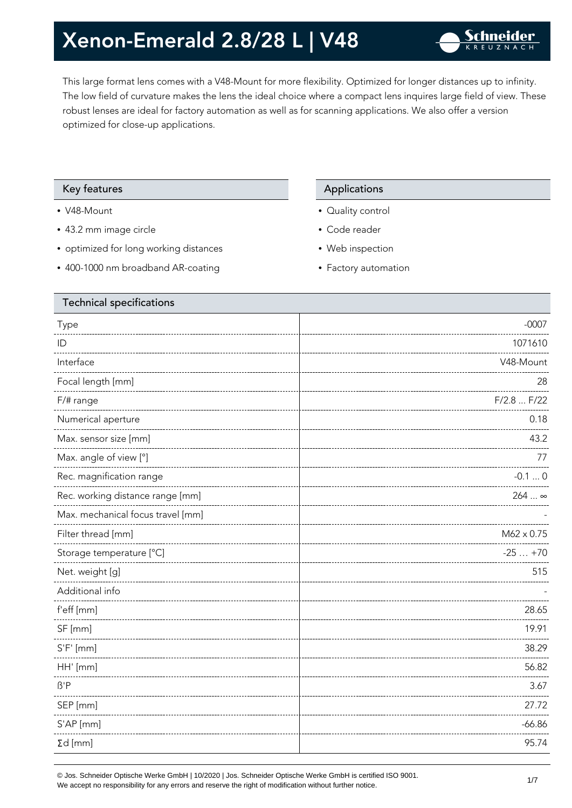This large format lens comes with a V48-Mount for more flexibility. Optimized for longer distances up to infinity. The low field of curvature makes the lens the ideal choice where a compact lens inquires large field of view. These robust lenses are ideal for factory automation as well as for scanning applications. We also offer a version optimized for close-up applications.

### Key features **Applications** Applications

- V48-Mount
- 43.2 mm image circle
- optimized for long working distances
- 400-1000 nm broadband AR-coating

- Quality control
- Code reader
- Web inspection
- Factory automation

| <b>Technical specifications</b> |  |  |
|---------------------------------|--|--|
| $-0007$                         |  |  |
| 1071610                         |  |  |
| V48-Mount                       |  |  |
| 28                              |  |  |
| F/2.8  F/22                     |  |  |
| 0.18                            |  |  |
| 43.2                            |  |  |
| 77                              |  |  |
| $-0.10$                         |  |  |
| 264  ∞                          |  |  |
|                                 |  |  |
| M62 x 0.75                      |  |  |
| $-25+70$                        |  |  |
| 515                             |  |  |
|                                 |  |  |
| 28.65                           |  |  |
| 19.91                           |  |  |
| 38.29                           |  |  |
| 56.82                           |  |  |
| 3.67                            |  |  |
| 27.72                           |  |  |
| $-66.86$                        |  |  |
| 95.74                           |  |  |
|                                 |  |  |

© Jos. Schneider Optische Werke GmbH | 10/2020 | Jos. Schneider Optische Werke GmbH is certified ISO 9001. We accept no responsibility for any errors and reserve the right of modification without further notice.<br>We accept no responsibility for any errors and reserve the right of modification without further notice.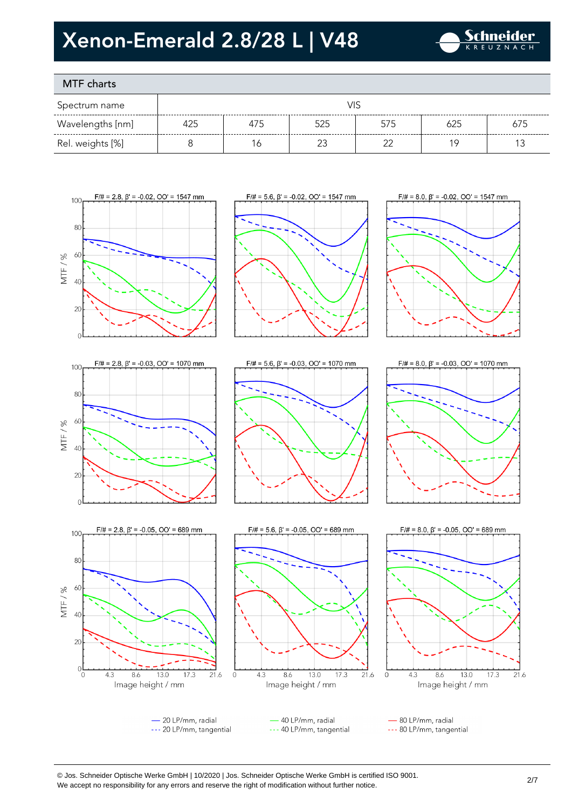

### MTF charts

| Spectrum name    |     |     |  |     |     |     |
|------------------|-----|-----|--|-----|-----|-----|
| Wavelengths [nm] | 425 | 475 |  | 575 | 625 | 675 |
| Rel. weights [%] |     |     |  | ≘∼  |     |     |









 $\epsilon$ 











- 20 LP/mm, radial --- 20 LP/mm, tangential

40 LP/mm, radial --- 40 LP/mm, tangential

- 80 LP/mm, radial --- 80 LP/mm, tangential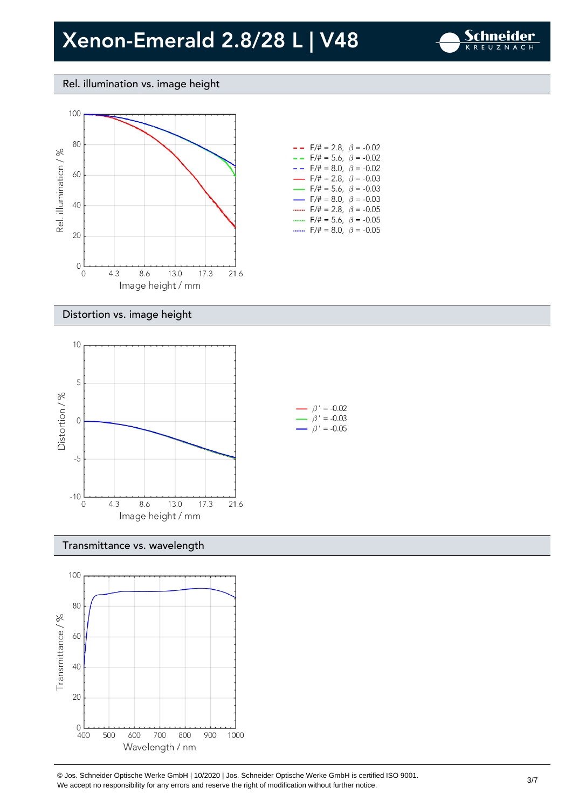

### Rel. illumination vs. image height



#### $- -$  F/# = 2.8,  $\beta$  = -0.02 -  $F/\# = 5.6$ ,  $\beta = -0.02$  $- -$  F/# = 8.0,  $\beta$  = -0.02  $F/\# = 2.8, \ \beta = -0.03$  $F/\# = 5.6$ ,  $\beta = -0.03$  $F/\# = 8.0, \ \beta = -0.03$  $\overline{\phantom{0}}$ .......  $F/\# = 2.8, \ \beta = -0.05$ .......  $F/\# = 5.6$ ,  $\beta = -0.05$ .......  $F/\# = 8.0, \ \beta = -0.05$

#### Distortion vs. image height



### Transmittance vs. wavelength



© Jos. Schneider Optische Werke GmbH | 10/2020 | Jos. Schneider Optische Werke GmbH is certified ISO 9001. We accept no responsibility for any errors and reserve the right of modification without further notice.<br>We accept no responsibility for any errors and reserve the right of modification without further notice.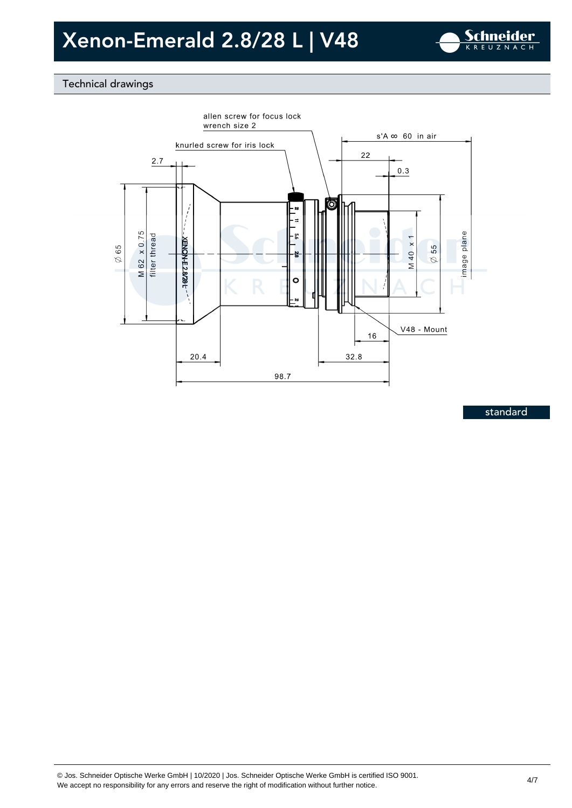

### Technical drawings



standard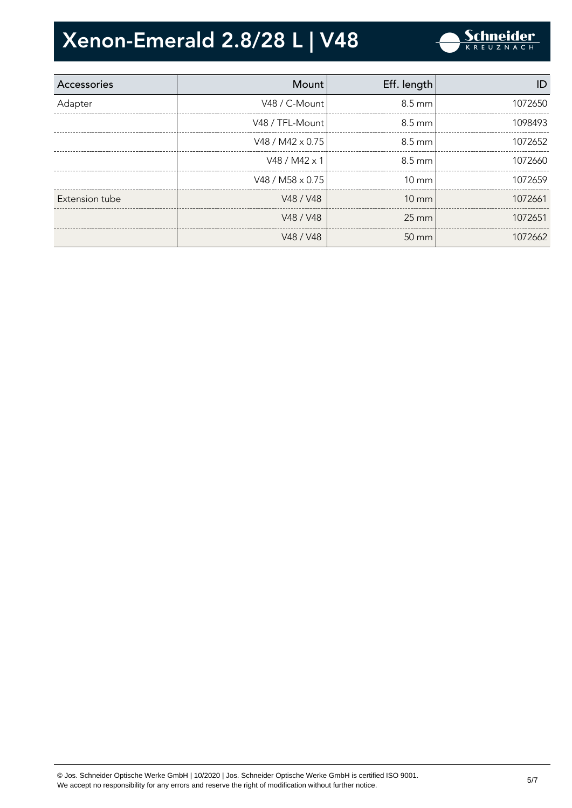

| Accessories    | Mount                   | Eff. length       | ID      |
|----------------|-------------------------|-------------------|---------|
| Adapter        | V48 / C-Mount           | 8.5 mm            | 1072650 |
|                | V48 / TFL-Mount         | $8.5 \text{ mm}$  | 1098493 |
|                | V48 / M42 $\times$ 0.75 | $8.5 \text{ mm}$  | 1072652 |
|                | V48 / M42 x 1           | $8.5 \text{ mm}$  | 1072660 |
|                | V48 / M58 $\times$ 0.75 | $10 \text{ mm}$   | 1072659 |
| Extension tube | V48 / V48               | $10 \text{ mm}$   | 1072661 |
|                | V48 / V48               | $25 \text{ mm}$   | 1072651 |
|                | V48 / V48               | $50 \, \text{mm}$ | 1072662 |